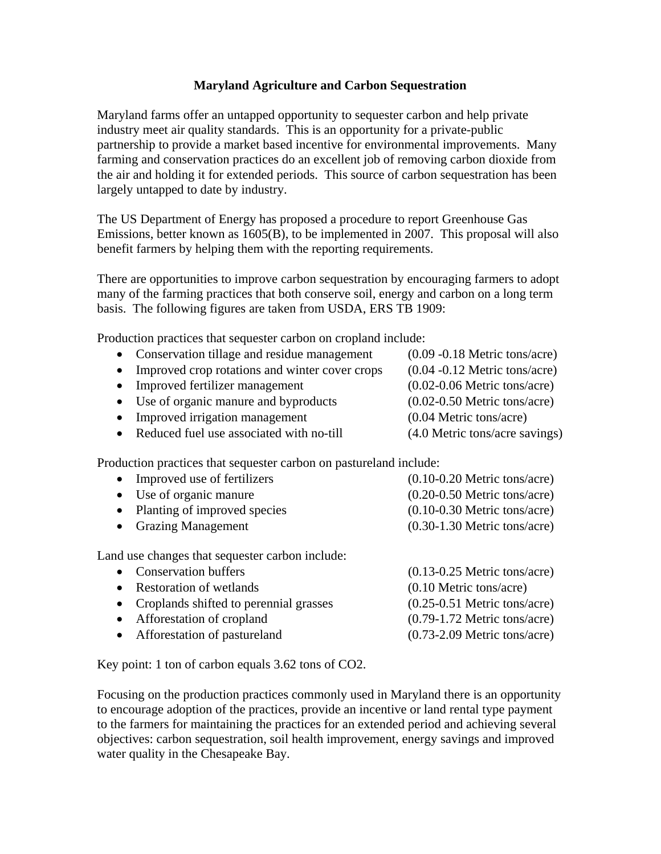## **Maryland Agriculture and Carbon Sequestration**

Maryland farms offer an untapped opportunity to sequester carbon and help private industry meet air quality standards. This is an opportunity for a private-public partnership to provide a market based incentive for environmental improvements. Many farming and conservation practices do an excellent job of removing carbon dioxide from the air and holding it for extended periods. This source of carbon sequestration has been largely untapped to date by industry.

The US Department of Energy has proposed a procedure to report Greenhouse Gas Emissions, better known as 1605(B), to be implemented in 2007. This proposal will also benefit farmers by helping them with the reporting requirements.

There are opportunities to improve carbon sequestration by encouraging farmers to adopt many of the farming practices that both conserve soil, energy and carbon on a long term basis. The following figures are taken from USDA, ERS TB 1909:

Production practices that sequester carbon on cropland include:

| • Conservation tillage and residue management    | $(0.09 - 0.18$ Metric tons/acre) |
|--------------------------------------------------|----------------------------------|
| • Improved crop rotations and winter cover crops | $(0.04 - 0.12$ Metric tons/acre) |
| • Improved fertilizer management                 | $(0.02-0.06$ Metric tons/acre)   |
| • Use of organic manure and byproducts           | $(0.02-0.50$ Metric tons/acre)   |
| • Improved irrigation management                 | $(0.04$ Metric tons/acre)        |
| • Reduced fuel use associated with no-till       | (4.0 Metric tons/acre savings)   |

Production practices that sequester carbon on pastureland include:

| $(0.10-0.20$ Metric tons/acre)    |
|-----------------------------------|
| $(0.20-0.50$ Metric tons/acre)    |
| $(0.10-0.30$ Metric tons/acre)    |
| $(0.30-1.30$ Metric tons/acre)    |
|                                   |
| $(0.13 - 0.25$ Metric tons/acre)  |
| $(0.10 \text{ Metric tons/acre})$ |
| $(0.25-0.51$ Metric tons/acre)    |
| $(0.79-1.72$ Metric tons/acre)    |
| $(0.73-2.09$ Metric tons/acre)    |
|                                   |

Key point: 1 ton of carbon equals 3.62 tons of CO2.

Focusing on the production practices commonly used in Maryland there is an opportunity to encourage adoption of the practices, provide an incentive or land rental type payment to the farmers for maintaining the practices for an extended period and achieving several objectives: carbon sequestration, soil health improvement, energy savings and improved water quality in the Chesapeake Bay.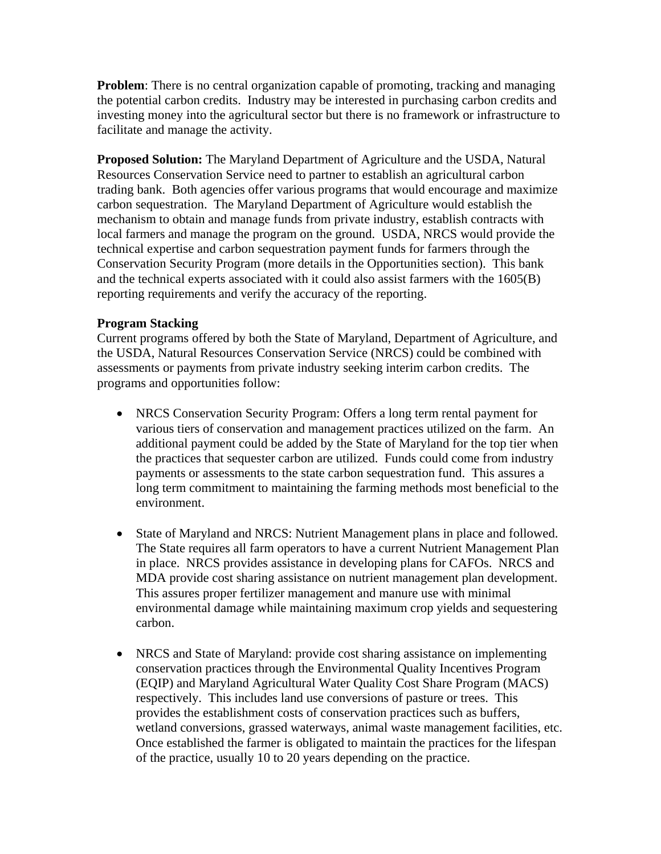**Problem**: There is no central organization capable of promoting, tracking and managing the potential carbon credits. Industry may be interested in purchasing carbon credits and investing money into the agricultural sector but there is no framework or infrastructure to facilitate and manage the activity.

**Proposed Solution:** The Maryland Department of Agriculture and the USDA, Natural Resources Conservation Service need to partner to establish an agricultural carbon trading bank. Both agencies offer various programs that would encourage and maximize carbon sequestration. The Maryland Department of Agriculture would establish the mechanism to obtain and manage funds from private industry, establish contracts with local farmers and manage the program on the ground. USDA, NRCS would provide the technical expertise and carbon sequestration payment funds for farmers through the Conservation Security Program (more details in the Opportunities section). This bank and the technical experts associated with it could also assist farmers with the 1605(B) reporting requirements and verify the accuracy of the reporting.

## **Program Stacking**

Current programs offered by both the State of Maryland, Department of Agriculture, and the USDA, Natural Resources Conservation Service (NRCS) could be combined with assessments or payments from private industry seeking interim carbon credits. The programs and opportunities follow:

- NRCS Conservation Security Program: Offers a long term rental payment for various tiers of conservation and management practices utilized on the farm. An additional payment could be added by the State of Maryland for the top tier when the practices that sequester carbon are utilized. Funds could come from industry payments or assessments to the state carbon sequestration fund. This assures a long term commitment to maintaining the farming methods most beneficial to the environment.
- State of Maryland and NRCS: Nutrient Management plans in place and followed. The State requires all farm operators to have a current Nutrient Management Plan in place. NRCS provides assistance in developing plans for CAFOs. NRCS and MDA provide cost sharing assistance on nutrient management plan development. This assures proper fertilizer management and manure use with minimal environmental damage while maintaining maximum crop yields and sequestering carbon.
- NRCS and State of Maryland: provide cost sharing assistance on implementing conservation practices through the Environmental Quality Incentives Program (EQIP) and Maryland Agricultural Water Quality Cost Share Program (MACS) respectively. This includes land use conversions of pasture or trees. This provides the establishment costs of conservation practices such as buffers, wetland conversions, grassed waterways, animal waste management facilities, etc. Once established the farmer is obligated to maintain the practices for the lifespan of the practice, usually 10 to 20 years depending on the practice.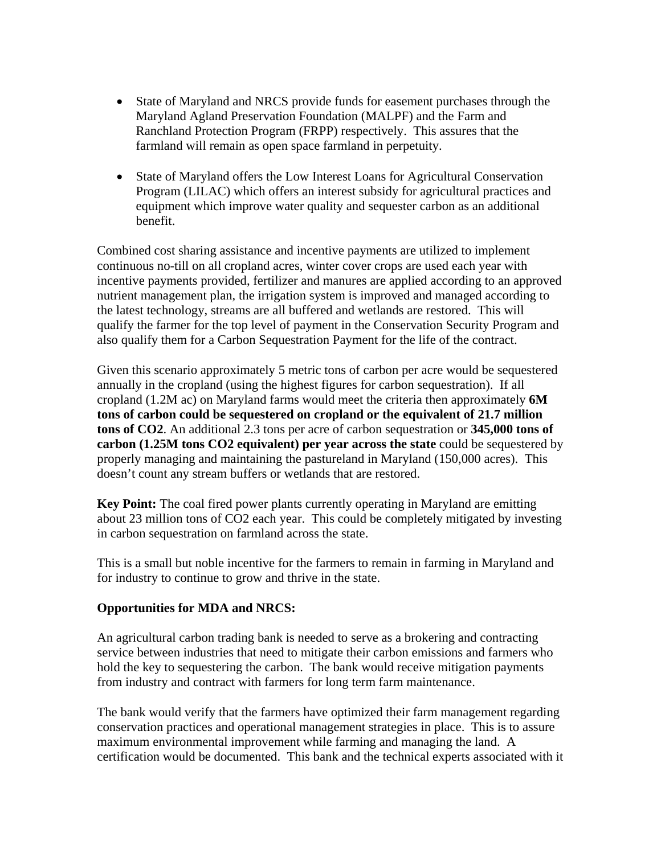- State of Maryland and NRCS provide funds for easement purchases through the Maryland Agland Preservation Foundation (MALPF) and the Farm and Ranchland Protection Program (FRPP) respectively. This assures that the farmland will remain as open space farmland in perpetuity.
- State of Maryland offers the Low Interest Loans for Agricultural Conservation Program (LILAC) which offers an interest subsidy for agricultural practices and equipment which improve water quality and sequester carbon as an additional benefit.

Combined cost sharing assistance and incentive payments are utilized to implement continuous no-till on all cropland acres, winter cover crops are used each year with incentive payments provided, fertilizer and manures are applied according to an approved nutrient management plan, the irrigation system is improved and managed according to the latest technology, streams are all buffered and wetlands are restored. This will qualify the farmer for the top level of payment in the Conservation Security Program and also qualify them for a Carbon Sequestration Payment for the life of the contract.

Given this scenario approximately 5 metric tons of carbon per acre would be sequestered annually in the cropland (using the highest figures for carbon sequestration). If all cropland (1.2M ac) on Maryland farms would meet the criteria then approximately **6M tons of carbon could be sequestered on cropland or the equivalent of 21.7 million tons of CO2**. An additional 2.3 tons per acre of carbon sequestration or **345,000 tons of carbon (1.25M tons CO2 equivalent) per year across the state** could be sequestered by properly managing and maintaining the pastureland in Maryland (150,000 acres). This doesn't count any stream buffers or wetlands that are restored.

**Key Point:** The coal fired power plants currently operating in Maryland are emitting about 23 million tons of CO2 each year. This could be completely mitigated by investing in carbon sequestration on farmland across the state.

This is a small but noble incentive for the farmers to remain in farming in Maryland and for industry to continue to grow and thrive in the state.

## **Opportunities for MDA and NRCS:**

An agricultural carbon trading bank is needed to serve as a brokering and contracting service between industries that need to mitigate their carbon emissions and farmers who hold the key to sequestering the carbon. The bank would receive mitigation payments from industry and contract with farmers for long term farm maintenance.

The bank would verify that the farmers have optimized their farm management regarding conservation practices and operational management strategies in place. This is to assure maximum environmental improvement while farming and managing the land. A certification would be documented. This bank and the technical experts associated with it